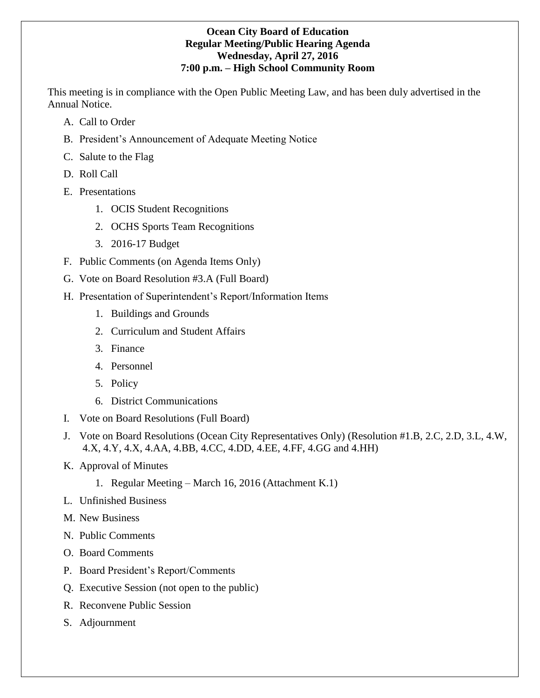## **Ocean City Board of Education Regular Meeting/Public Hearing Agenda Wednesday, April 27, 2016 7:00 p.m. – High School Community Room**

This meeting is in compliance with the Open Public Meeting Law, and has been duly advertised in the Annual Notice.

- A. Call to Order
- B. President's Announcement of Adequate Meeting Notice
- C. Salute to the Flag
- D. Roll Call
- E. Presentations
	- 1. OCIS Student Recognitions
	- 2. OCHS Sports Team Recognitions
	- 3. 2016-17 Budget
- F. Public Comments (on Agenda Items Only)
- G. Vote on Board Resolution #3.A (Full Board)
- H. Presentation of Superintendent's Report/Information Items
	- 1. Buildings and Grounds
	- 2. Curriculum and Student Affairs
	- 3. Finance
	- 4. Personnel
	- 5. Policy
	- 6. District Communications
- I. Vote on Board Resolutions (Full Board)
- J. Vote on Board Resolutions (Ocean City Representatives Only) (Resolution #1.B, 2.C, 2.D, 3.L, 4.W, 4.X, 4.Y, 4.X, 4.AA, 4.BB, 4.CC, 4.DD, 4.EE, 4.FF, 4.GG and 4.HH)
- K. Approval of Minutes
	- 1. Regular Meeting March 16, 2016 (Attachment K.1)
- L. Unfinished Business
- M. New Business
- N. Public Comments
- O. Board Comments
- P. Board President's Report/Comments
- Q. Executive Session (not open to the public)
- R. Reconvene Public Session
- S. Adjournment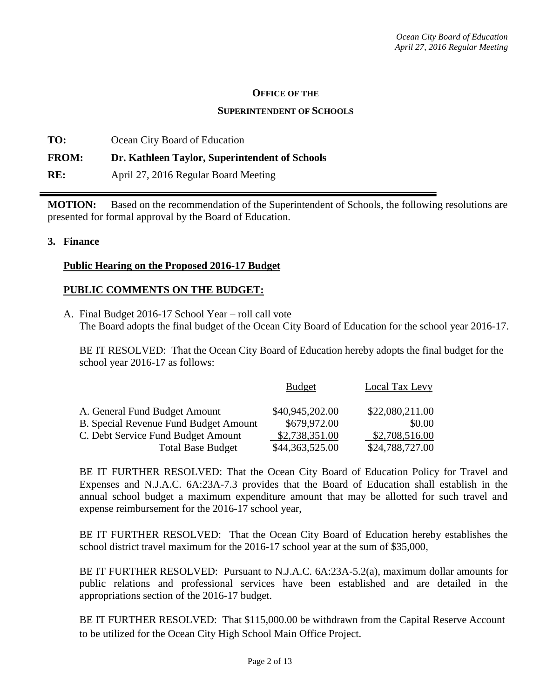#### **OFFICE OF THE**

#### **SUPERINTENDENT OF SCHOOLS**

**TO:** Ocean City Board of Education **FROM: Dr. Kathleen Taylor, Superintendent of Schools RE:** April 27, 2016 Regular Board Meeting

**MOTION:** Based on the recommendation of the Superintendent of Schools, the following resolutions are presented for formal approval by the Board of Education.

### **3. Finance**

#### **Public Hearing on the Proposed 2016-17 Budget**

### **PUBLIC COMMENTS ON THE BUDGET:**

A. Final Budget 2016-17 School Year – roll call vote The Board adopts the final budget of the Ocean City Board of Education for the school year 2016-17.

BE IT RESOLVED: That the Ocean City Board of Education hereby adopts the final budget for the school year 2016-17 as follows:

|                                              | <b>Budget</b>   | Local Tax Levy  |
|----------------------------------------------|-----------------|-----------------|
| A. General Fund Budget Amount                | \$40,945,202.00 | \$22,080,211.00 |
| <b>B.</b> Special Revenue Fund Budget Amount | \$679,972.00    | \$0.00          |
| C. Debt Service Fund Budget Amount           | \$2,738,351.00  | \$2,708,516.00  |
| <b>Total Base Budget</b>                     | \$44,363,525.00 | \$24,788,727.00 |

BE IT FURTHER RESOLVED: That the Ocean City Board of Education Policy for Travel and Expenses and N.J.A.C. 6A:23A-7.3 provides that the Board of Education shall establish in the annual school budget a maximum expenditure amount that may be allotted for such travel and expense reimbursement for the 2016-17 school year,

BE IT FURTHER RESOLVED: That the Ocean City Board of Education hereby establishes the school district travel maximum for the 2016-17 school year at the sum of \$35,000,

BE IT FURTHER RESOLVED: Pursuant to N.J.A.C. 6A:23A-5.2(a), maximum dollar amounts for public relations and professional services have been established and are detailed in the appropriations section of the 2016-17 budget.

BE IT FURTHER RESOLVED: That \$115,000.00 be withdrawn from the Capital Reserve Account to be utilized for the Ocean City High School Main Office Project.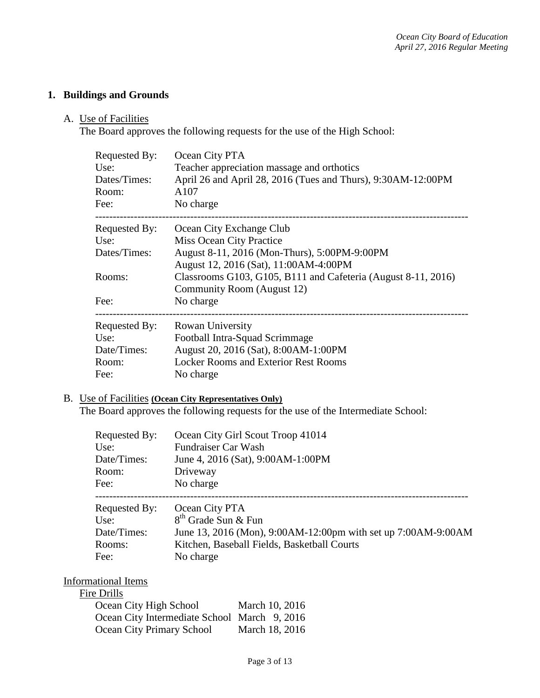# **1. Buildings and Grounds**

A. Use of Facilities

The Board approves the following requests for the use of the High School:

| <b>Requested By:</b><br>Use:<br>Dates/Times:<br>Room:<br>Fee: | Ocean City PTA<br>Teacher appreciation massage and orthotics<br>April 26 and April 28, 2016 (Tues and Thurs), 9:30AM-12:00PM<br>A107<br>No charge |  |
|---------------------------------------------------------------|---------------------------------------------------------------------------------------------------------------------------------------------------|--|
| Requested By:                                                 | Ocean City Exchange Club                                                                                                                          |  |
| Use:                                                          | Miss Ocean City Practice                                                                                                                          |  |
| Dates/Times:                                                  | August 8-11, 2016 (Mon-Thurs), 5:00PM-9:00PM                                                                                                      |  |
|                                                               | August 12, 2016 (Sat), 11:00AM-4:00PM                                                                                                             |  |
| Rooms:                                                        | Classrooms G103, G105, B111 and Cafeteria (August 8-11, 2016)                                                                                     |  |
|                                                               | Community Room (August 12)                                                                                                                        |  |
| Fee:                                                          | No charge                                                                                                                                         |  |
| <b>Requested By:</b>                                          | Rowan University                                                                                                                                  |  |
| Use:                                                          | Football Intra-Squad Scrimmage                                                                                                                    |  |
| Date/Times:                                                   | August 20, 2016 (Sat), 8:00AM-1:00PM                                                                                                              |  |
| Room:                                                         | <b>Locker Rooms and Exterior Rest Rooms</b>                                                                                                       |  |
| Fee:                                                          | No charge                                                                                                                                         |  |

# B. Use of Facilities **(Ocean City Representatives Only)**

The Board approves the following requests for the use of the Intermediate School:

| Requested By: | Ocean City Girl Scout Troop 41014                             |
|---------------|---------------------------------------------------------------|
| Use:          | <b>Fundraiser Car Wash</b>                                    |
| Date/Times:   | June 4, 2016 (Sat), 9:00AM-1:00PM                             |
| Room:         | Driveway                                                      |
| Fee:          | No charge                                                     |
| Requested By: | Ocean City PTA                                                |
| Use:          | 8 <sup>th</sup> Grade Sun & Fun                               |
| Date/Times:   | June 13, 2016 (Mon), 9:00AM-12:00pm with set up 7:00AM-9:00AM |
| Rooms:        | Kitchen, Baseball Fields, Basketball Courts                   |
| Fee:          | No charge                                                     |

## Informational Items

## Fire Drills

| Ocean City High School                       | March 10, 2016 |
|----------------------------------------------|----------------|
| Ocean City Intermediate School March 9, 2016 |                |
| Ocean City Primary School                    | March 18, 2016 |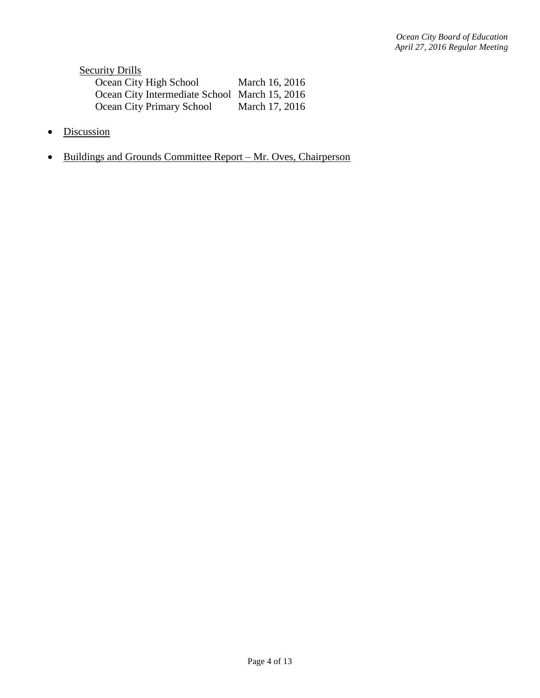**Security Drills** Ocean City High School March 16, 2016 Ocean City Intermediate School March 15, 2016 Ocean City Primary School March 17, 2016

- Discussion
- Buildings and Grounds Committee Report Mr. Oves, Chairperson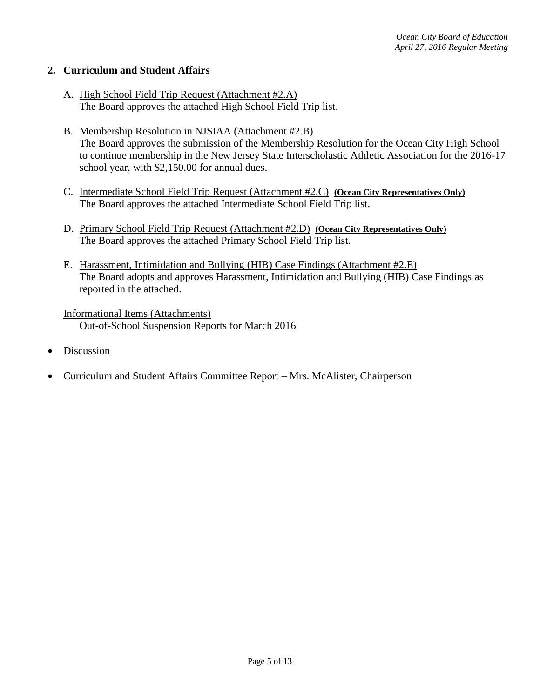## **2. Curriculum and Student Affairs**

- A. High School Field Trip Request (Attachment #2.A) The Board approves the attached High School Field Trip list.
- B. Membership Resolution in NJSIAA (Attachment #2.B) The Board approves the submission of the Membership Resolution for the Ocean City High School to continue membership in the New Jersey State Interscholastic Athletic Association for the 2016-17 school year, with \$2,150.00 for annual dues.
- C. Intermediate School Field Trip Request (Attachment #2.C) **(Ocean City Representatives Only)** The Board approves the attached Intermediate School Field Trip list.
- D. Primary School Field Trip Request (Attachment #2.D) **(Ocean City Representatives Only)** The Board approves the attached Primary School Field Trip list.
- E. Harassment, Intimidation and Bullying (HIB) Case Findings (Attachment #2.E) The Board adopts and approves Harassment, Intimidation and Bullying (HIB) Case Findings as reported in the attached.

Informational Items (Attachments) Out-of-School Suspension Reports for March 2016

- Discussion
- Curriculum and Student Affairs Committee Report Mrs. McAlister, Chairperson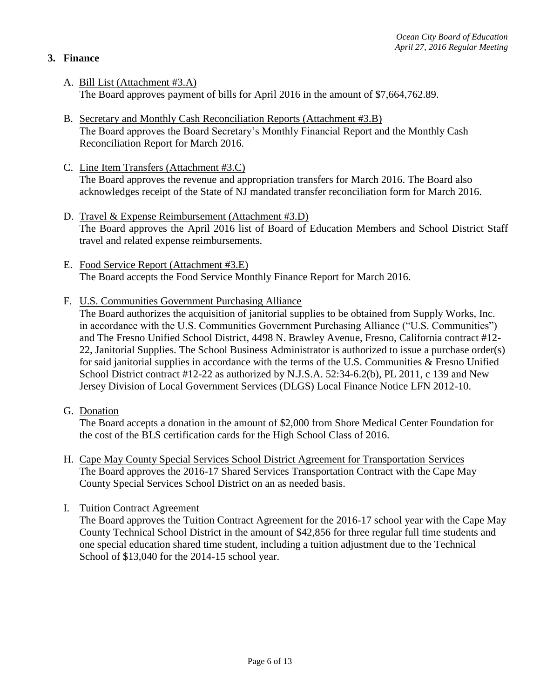# **3. Finance**

- A. Bill List (Attachment #3.A) The Board approves payment of bills for April 2016 in the amount of \$7,664,762.89.
- B. Secretary and Monthly Cash Reconciliation Reports (Attachment #3.B) The Board approves the Board Secretary's Monthly Financial Report and the Monthly Cash Reconciliation Report for March 2016.
- C. Line Item Transfers (Attachment #3.C) The Board approves the revenue and appropriation transfers for March 2016. The Board also acknowledges receipt of the State of NJ mandated transfer reconciliation form for March 2016.
- D. Travel & Expense Reimbursement (Attachment #3.D) The Board approves the April 2016 list of Board of Education Members and School District Staff travel and related expense reimbursements.
- E. Food Service Report (Attachment #3.E) The Board accepts the Food Service Monthly Finance Report for March 2016.
- F. U.S. Communities Government Purchasing Alliance

The Board authorizes the acquisition of janitorial supplies to be obtained from Supply Works, Inc. in accordance with the U.S. Communities Government Purchasing Alliance ("U.S. Communities") and The Fresno Unified School District, 4498 N. Brawley Avenue, Fresno, California contract #12- 22, Janitorial Supplies. The School Business Administrator is authorized to issue a purchase order(s) for said janitorial supplies in accordance with the terms of the U.S. Communities & Fresno Unified School District contract #12-22 as authorized by N.J.S.A. 52:34-6.2(b), PL 2011, c 139 and New Jersey Division of Local Government Services (DLGS) Local Finance Notice LFN 2012-10.

G. Donation

The Board accepts a donation in the amount of \$2,000 from Shore Medical Center Foundation for the cost of the BLS certification cards for the High School Class of 2016.

- H. Cape May County Special Services School District Agreement for Transportation Services The Board approves the 2016-17 Shared Services Transportation Contract with the Cape May County Special Services School District on an as needed basis.
- I. Tuition Contract Agreement

The Board approves the Tuition Contract Agreement for the 2016-17 school year with the Cape May County Technical School District in the amount of \$42,856 for three regular full time students and one special education shared time student, including a tuition adjustment due to the Technical School of \$13,040 for the 2014-15 school year.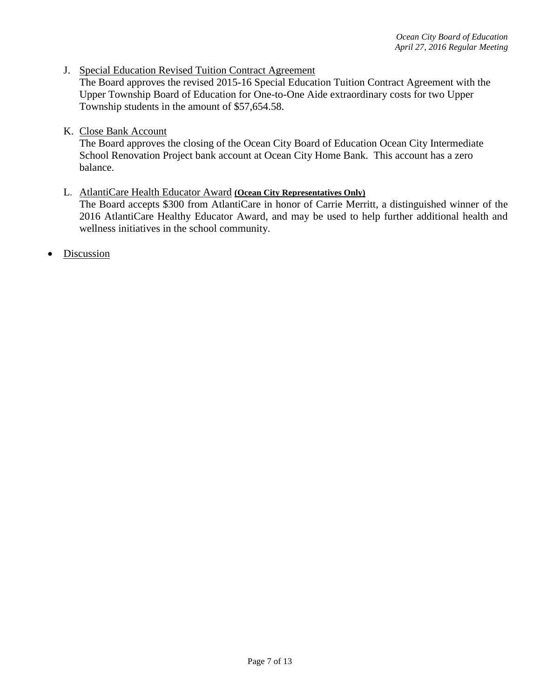J. Special Education Revised Tuition Contract Agreement

The Board approves the revised 2015-16 Special Education Tuition Contract Agreement with the Upper Township Board of Education for One-to-One Aide extraordinary costs for two Upper Township students in the amount of \$57,654.58.

K. Close Bank Account

The Board approves the closing of the Ocean City Board of Education Ocean City Intermediate School Renovation Project bank account at Ocean City Home Bank. This account has a zero balance.

### L. AtlantiCare Health Educator Award **(Ocean City Representatives Only)**

The Board accepts \$300 from AtlantiCare in honor of Carrie Merritt, a distinguished winner of the 2016 AtlantiCare Healthy Educator Award, and may be used to help further additional health and wellness initiatives in the school community.

Discussion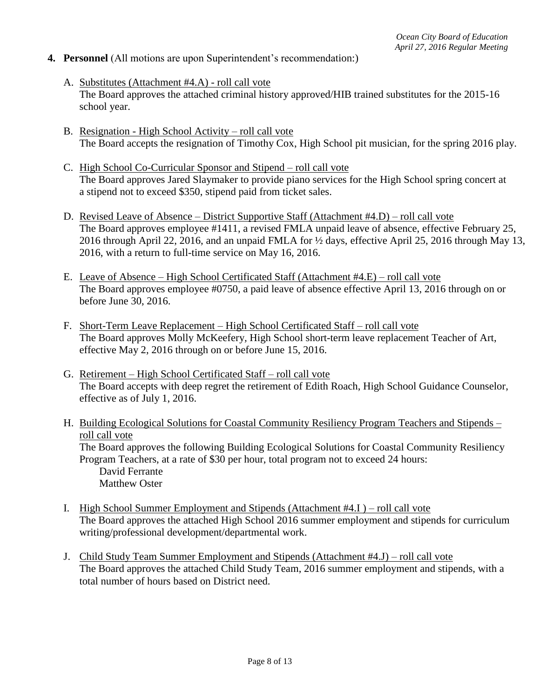### **4. Personnel** (All motions are upon Superintendent's recommendation:)

- A. Substitutes (Attachment #4.A) roll call vote The Board approves the attached criminal history approved/HIB trained substitutes for the 2015-16 school year.
- B. Resignation High School Activity roll call vote The Board accepts the resignation of Timothy Cox, High School pit musician, for the spring 2016 play.
- C. High School Co-Curricular Sponsor and Stipend roll call vote The Board approves Jared Slaymaker to provide piano services for the High School spring concert at a stipend not to exceed \$350, stipend paid from ticket sales.
- D. Revised Leave of Absence District Supportive Staff (Attachment #4.D) roll call vote The Board approves employee #1411, a revised FMLA unpaid leave of absence, effective February 25, 2016 through April 22, 2016, and an unpaid FMLA for ½ days, effective April 25, 2016 through May 13, 2016, with a return to full-time service on May 16, 2016.
- E. Leave of Absence High School Certificated Staff (Attachment #4.E) roll call vote The Board approves employee #0750, a paid leave of absence effective April 13, 2016 through on or before June 30, 2016.
- F. Short-Term Leave Replacement High School Certificated Staff roll call vote The Board approves Molly McKeefery*,* High School short-term leave replacement Teacher of Art, effective May 2, 2016 through on or before June 15, 2016.
- G. Retirement High School Certificated Staff roll call vote The Board accepts with deep regret the retirement of Edith Roach, High School Guidance Counselor, effective as of July 1, 2016.
- H. Building Ecological Solutions for Coastal Community Resiliency Program Teachers and Stipends roll call vote The Board approves the following Building Ecological Solutions for Coastal Community Resiliency Program Teachers, at a rate of \$30 per hour, total program not to exceed 24 hours: David Ferrante Matthew Oster
- I. High School Summer Employment and Stipends (Attachment #4.I ) roll call vote The Board approves the attached High School 2016 summer employment and stipends for curriculum writing/professional development/departmental work.
- J. Child Study Team Summer Employment and Stipends (Attachment #4.J) roll call vote The Board approves the attached Child Study Team, 2016 summer employment and stipends, with a total number of hours based on District need.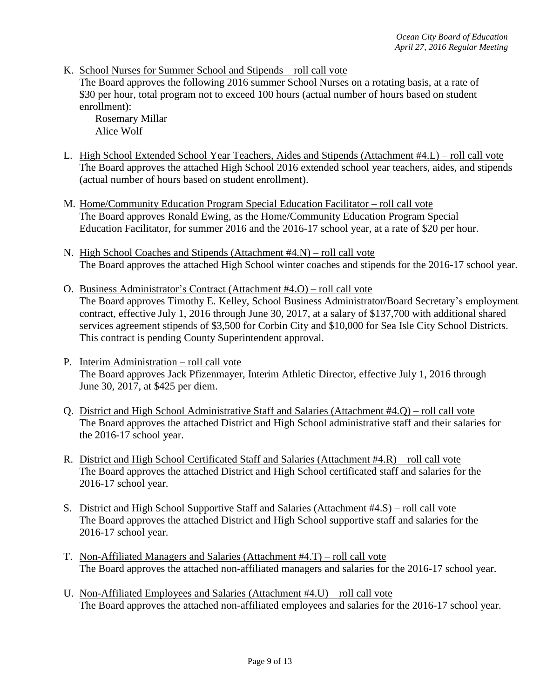K. School Nurses for Summer School and Stipends – roll call vote

The Board approves the following 2016 summer School Nurses on a rotating basis, at a rate of \$30 per hour, total program not to exceed 100 hours (actual number of hours based on student enrollment):

Rosemary Millar Alice Wolf

- L. High School Extended School Year Teachers, Aides and Stipends (Attachment #4.L) roll call vote The Board approves the attached High School 2016 extended school year teachers, aides, and stipends (actual number of hours based on student enrollment).
- M. Home/Community Education Program Special Education Facilitator roll call vote The Board approves Ronald Ewing, as the Home/Community Education Program Special Education Facilitator, for summer 2016 and the 2016-17 school year, at a rate of \$20 per hour.
- N. High School Coaches and Stipends (Attachment #4.N) roll call vote The Board approves the attached High School winter coaches and stipends for the 2016-17 school year.
- O. Business Administrator's Contract (Attachment #4.O) roll call vote The Board approves Timothy E. Kelley, School Business Administrator/Board Secretary's employment contract, effective July 1, 2016 through June 30, 2017, at a salary of \$137,700 with additional shared services agreement stipends of \$3,500 for Corbin City and \$10,000 for Sea Isle City School Districts. This contract is pending County Superintendent approval.
- P. Interim Administration roll call vote The Board approves Jack Pfizenmayer, Interim Athletic Director, effective July 1, 2016 through June 30, 2017, at \$425 per diem.
- Q. District and High School Administrative Staff and Salaries (Attachment #4.Q) roll call vote The Board approves the attached District and High School administrative staff and their salaries for the 2016-17 school year.
- R. District and High School Certificated Staff and Salaries (Attachment #4.R) roll call vote The Board approves the attached District and High School certificated staff and salaries for the 2016-17 school year.
- S. District and High School Supportive Staff and Salaries (Attachment #4.S) roll call vote The Board approves the attached District and High School supportive staff and salaries for the 2016-17 school year.
- T. Non-Affiliated Managers and Salaries (Attachment #4.T) roll call vote The Board approves the attached non-affiliated managers and salaries for the 2016-17 school year.
- U. Non-Affiliated Employees and Salaries (Attachment #4.U) roll call vote The Board approves the attached non-affiliated employees and salaries for the 2016-17 school year.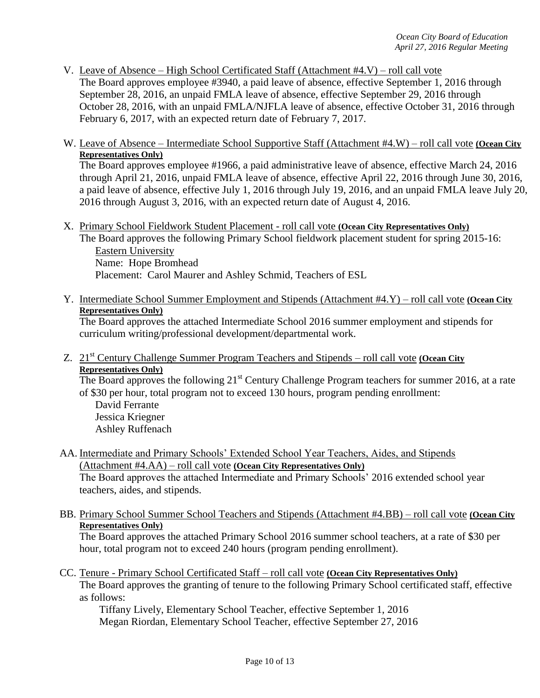- V. Leave of Absence High School Certificated Staff (Attachment #4.V) roll call vote The Board approves employee #3940, a paid leave of absence, effective September 1, 2016 through September 28, 2016, an unpaid FMLA leave of absence, effective September 29, 2016 through October 28, 2016, with an unpaid FMLA/NJFLA leave of absence, effective October 31, 2016 through February 6, 2017, with an expected return date of February 7, 2017.
- W. Leave of Absence Intermediate School Supportive Staff (Attachment #4.W) roll call vote **(Ocean City Representatives Only)**

The Board approves employee #1966, a paid administrative leave of absence, effective March 24, 2016 through April 21, 2016, unpaid FMLA leave of absence, effective April 22, 2016 through June 30, 2016, a paid leave of absence, effective July 1, 2016 through July 19, 2016, and an unpaid FMLA leave July 20, 2016 through August 3, 2016, with an expected return date of August 4, 2016.

X. Primary School Fieldwork Student Placement - roll call vote **(Ocean City Representatives Only)** The Board approves the following Primary School fieldwork placement student for spring 2015-16:

Eastern University Name: Hope Bromhead Placement: Carol Maurer and Ashley Schmid, Teachers of ESL

Y. Intermediate School Summer Employment and Stipends (Attachment #4.Y) – roll call vote **(Ocean City Representatives Only)**

The Board approves the attached Intermediate School 2016 summer employment and stipends for curriculum writing/professional development/departmental work.

Z. 21st Century Challenge Summer Program Teachers and Stipends – roll call vote **(Ocean City Representatives Only)**

The Board approves the following  $21^{st}$  Century Challenge Program teachers for summer 2016, at a rate of \$30 per hour, total program not to exceed 130 hours, program pending enrollment:

David Ferrante Jessica Kriegner Ashley Ruffenach

AA. Intermediate and Primary Schools' Extended School Year Teachers, Aides, and Stipends (Attachment #4.AA) – roll call vote **(Ocean City Representatives Only)**

The Board approves the attached Intermediate and Primary Schools' 2016 extended school year teachers, aides, and stipends.

BB. Primary School Summer School Teachers and Stipends (Attachment #4.BB) – roll call vote **(Ocean City Representatives Only)**

The Board approves the attached Primary School 2016 summer school teachers, at a rate of \$30 per hour, total program not to exceed 240 hours (program pending enrollment).

CC. Tenure - Primary School Certificated Staff – roll call vote **(Ocean City Representatives Only)**

The Board approves the granting of tenure to the following Primary School certificated staff, effective as follows:

Tiffany Lively, Elementary School Teacher, effective September 1, 2016 Megan Riordan, Elementary School Teacher, effective September 27, 2016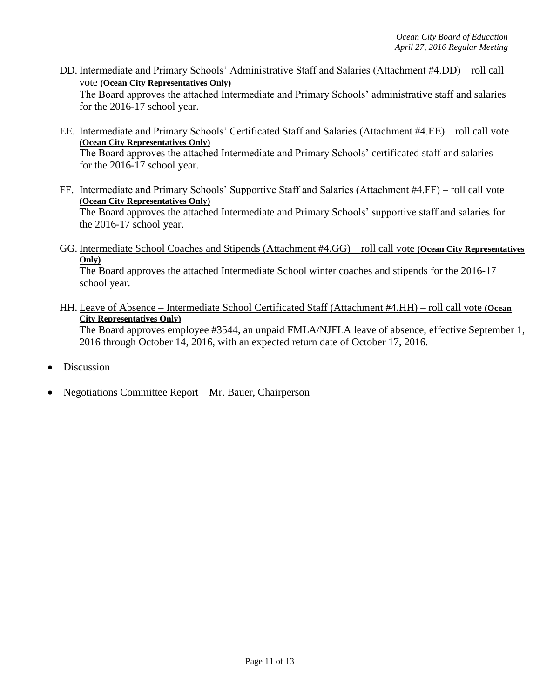DD. Intermediate and Primary Schools' Administrative Staff and Salaries (Attachment #4.DD) – roll call vote **(Ocean City Representatives Only)**

The Board approves the attached Intermediate and Primary Schools' administrative staff and salaries for the 2016-17 school year.

- EE. Intermediate and Primary Schools' Certificated Staff and Salaries (Attachment #4.EE) roll call vote **(Ocean City Representatives Only)** The Board approves the attached Intermediate and Primary Schools' certificated staff and salaries for the 2016-17 school year.
- FF. Intermediate and Primary Schools' Supportive Staff and Salaries (Attachment #4.FF) roll call vote **(Ocean City Representatives Only)** The Board approves the attached Intermediate and Primary Schools' supportive staff and salaries for the 2016-17 school year.
- GG. Intermediate School Coaches and Stipends (Attachment #4.GG) roll call vote **(Ocean City Representatives Only)**

The Board approves the attached Intermediate School winter coaches and stipends for the 2016-17 school year.

HH. Leave of Absence – Intermediate School Certificated Staff (Attachment #4.HH) – roll call vote **(Ocean City Representatives Only)**

The Board approves employee #3544, an unpaid FMLA/NJFLA leave of absence, effective September 1, 2016 through October 14, 2016, with an expected return date of October 17, 2016.

- Discussion
- Negotiations Committee Report Mr. Bauer, Chairperson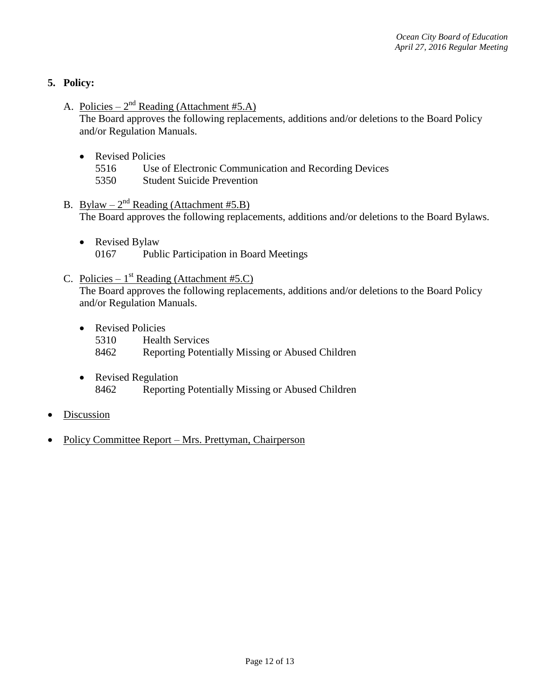# **5. Policy:**

A. Policies –  $2<sup>nd</sup>$  Reading (Attachment #5.A)

The Board approves the following replacements, additions and/or deletions to the Board Policy and/or Regulation Manuals.

- Revised Policies
	- 5516 Use of Electronic Communication and Recording Devices
	- 5350 Student Suicide Prevention
- B. Bylaw  $-2^{nd}$  Reading (Attachment #5.B) The Board approves the following replacements, additions and/or deletions to the Board Bylaws.
	- Revised Bylaw 0167 Public Participation in Board Meetings

# C. Policies –  $1^{st}$  Reading (Attachment #5.C) The Board approves the following replacements, additions and/or deletions to the Board Policy and/or Regulation Manuals.

- Revised Policies 5310 Health Services 8462 Reporting Potentially Missing or Abused Children
- Revised Regulation 8462 Reporting Potentially Missing or Abused Children
- **Discussion**
- Policy Committee Report Mrs. Prettyman, Chairperson